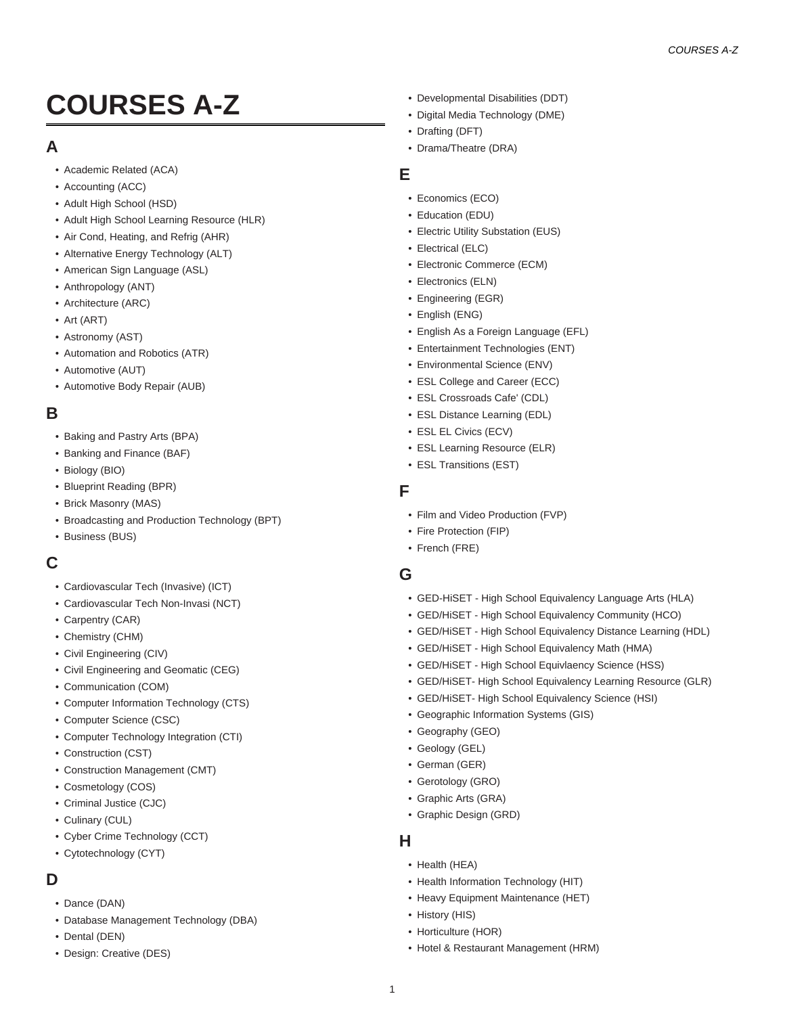# **COURSES A-Z**

## **A**

- [Academic Related \(ACA\)](http://catalog.cpcc.edu/courses/aca/)
- [Accounting \(ACC\)](http://catalog.cpcc.edu/courses/acc/)
- [Adult High School \(HSD\)](http://catalog.cpcc.edu/courses/hsd/)
- [Adult High School Learning Resource \(HLR\)](http://catalog.cpcc.edu/courses/hlr/)
- [Air Cond, Heating, and Refrig \(AHR\)](http://catalog.cpcc.edu/courses/ahr/)
- [Alternative Energy Technology \(ALT\)](http://catalog.cpcc.edu/courses/alt/)
- [American Sign Language \(ASL\)](http://catalog.cpcc.edu/courses/asl/)
- [Anthropology \(ANT\)](http://catalog.cpcc.edu/courses/ant/)
- [Architecture \(ARC\)](http://catalog.cpcc.edu/courses/arc/)
- [Art \(ART\)](http://catalog.cpcc.edu/courses/art/)
- [Astronomy \(AST\)](http://catalog.cpcc.edu/courses/ast/)
- [Automation and Robotics \(ATR\)](http://catalog.cpcc.edu/courses/atr/)
- [Automotive \(AUT\)](http://catalog.cpcc.edu/courses/aut/)
- [Automotive Body Repair \(AUB\)](http://catalog.cpcc.edu/courses/aub/)

## **B**

- [Baking and Pastry Arts \(BPA\)](http://catalog.cpcc.edu/courses/bpa/)
- [Banking and Finance \(BAF\)](http://catalog.cpcc.edu/courses/baf/)
- [Biology \(BIO\)](http://catalog.cpcc.edu/courses/bio/)
- [Blueprint Reading \(BPR\)](http://catalog.cpcc.edu/courses/bpr/)
- [Brick Masonry \(MAS\)](http://catalog.cpcc.edu/courses/mas/)
- [Broadcasting and Production Technology \(BPT\)](http://catalog.cpcc.edu/courses/bpt/)
- [Business \(BUS\)](http://catalog.cpcc.edu/courses/bus/)

# **C**

- [Cardiovascular Tech \(Invasive\) \(ICT\)](http://catalog.cpcc.edu/courses/ict/)
- [Cardiovascular Tech Non-Invasi \(NCT\)](http://catalog.cpcc.edu/courses/nct/)
- [Carpentry \(CAR\)](http://catalog.cpcc.edu/courses/car/)
- [Chemistry \(CHM\)](http://catalog.cpcc.edu/courses/chm/)
- [Civil Engineering \(CIV\)](http://catalog.cpcc.edu/courses/civ/)
- [Civil Engineering and Geomatic \(CEG\)](http://catalog.cpcc.edu/courses/ceg/)
- [Communication \(COM\)](http://catalog.cpcc.edu/courses/com/)
- [Computer Information Technology \(CTS\)](http://catalog.cpcc.edu/courses/cts/)
- [Computer Science \(CSC\)](http://catalog.cpcc.edu/courses/csc/)
- [Computer Technology Integration \(CTI\)](http://catalog.cpcc.edu/courses/cti/)
- [Construction \(CST\)](http://catalog.cpcc.edu/courses/cst/)
- [Construction Management \(CMT\)](http://catalog.cpcc.edu/courses/cmt/)
- [Cosmetology \(COS\)](http://catalog.cpcc.edu/courses/cos/)
- [Criminal Justice \(CJC\)](http://catalog.cpcc.edu/courses/cjc/)
- [Culinary \(CUL\)](http://catalog.cpcc.edu/courses/cul/)
- [Cyber Crime Technology \(CCT\)](http://catalog.cpcc.edu/courses/cct/)
- [Cytotechnology \(CYT\)](http://catalog.cpcc.edu/courses/cyt/)

# **D**

- [Dance \(DAN\)](http://catalog.cpcc.edu/courses/dan/)
- [Database Management Technology \(DBA\)](http://catalog.cpcc.edu/courses/dba/)
- [Dental \(DEN\)](http://catalog.cpcc.edu/courses/den/)
- [Design: Creative \(DES\)](http://catalog.cpcc.edu/courses/des/)
- [Developmental Disabilities \(DDT\)](http://catalog.cpcc.edu/courses/ddt/)
- [Digital Media Technology \(DME\)](http://catalog.cpcc.edu/courses/dme/)
- [Drafting \(DFT\)](http://catalog.cpcc.edu/courses/dft/)
- [Drama/Theatre \(DRA\)](http://catalog.cpcc.edu/courses/dra/)

## **E**

- [Economics \(ECO\)](http://catalog.cpcc.edu/courses/eco/)
- [Education \(EDU\)](http://catalog.cpcc.edu/courses/edu/)
- [Electric Utility Substation \(EUS\)](http://catalog.cpcc.edu/courses/eus/)
- [Electrical \(ELC\)](http://catalog.cpcc.edu/courses/elc/)
- [Electronic Commerce \(ECM\)](http://catalog.cpcc.edu/courses/ecm/)
- [Electronics \(ELN\)](http://catalog.cpcc.edu/courses/eln/)
- [Engineering \(EGR\)](http://catalog.cpcc.edu/courses/egr/)
- [English \(ENG\)](http://catalog.cpcc.edu/courses/eng/)
- [English As a Foreign Language \(EFL\)](http://catalog.cpcc.edu/courses/efl/)
- [Entertainment Technologies \(ENT\)](http://catalog.cpcc.edu/courses/ent/)
- [Environmental Science \(ENV\)](http://catalog.cpcc.edu/courses/env/)
- [ESL College and Career \(ECC\)](http://catalog.cpcc.edu/courses/ecc/)
- [ESL Crossroads Cafe' \(CDL\)](http://catalog.cpcc.edu/courses/cdl/)
- [ESL Distance Learning \(EDL\)](http://catalog.cpcc.edu/courses/edl/)
- [ESL EL Civics \(ECV\)](http://catalog.cpcc.edu/courses/ecv/)
- [ESL Learning Resource \(ELR\)](http://catalog.cpcc.edu/courses/elr/)
- [ESL Transitions \(EST\)](http://catalog.cpcc.edu/courses/est/)

## **F**

- [Film and Video Production \(FVP\)](http://catalog.cpcc.edu/courses/fvp/)
- [Fire Protection \(FIP\)](http://catalog.cpcc.edu/courses/fip/)
- [French \(FRE\)](http://catalog.cpcc.edu/courses/fre/)

## **G**

- [GED-HiSET High School Equivalency Language Arts \(HLA\)](http://catalog.cpcc.edu/courses/hla/)
- [GED/HiSET High School Equivalency Community \(HCO\)](http://catalog.cpcc.edu/courses/hco/)
- [GED/HiSET High School Equivalency Distance Learning \(HDL\)](http://catalog.cpcc.edu/courses/hdl/)
- [GED/HiSET High School Equivalency Math \(HMA\)](http://catalog.cpcc.edu/courses/hma/)
- [GED/HiSET High School Equivlaency Science \(HSS\)](http://catalog.cpcc.edu/courses/hss/)
- [GED/HiSET- High School Equivalency Learning Resource \(GLR\)](http://catalog.cpcc.edu/courses/glr/)
- [GED/HiSET- High School Equivalency Science \(HSI\)](http://catalog.cpcc.edu/courses/hsi/)
- [Geographic Information Systems \(GIS\)](http://catalog.cpcc.edu/courses/gis/)
- [Geography \(GEO\)](http://catalog.cpcc.edu/courses/geo/)
- [Geology \(GEL\)](http://catalog.cpcc.edu/courses/gel/)
- [German \(GER\)](http://catalog.cpcc.edu/courses/ger/)
- [Gerotology \(GRO\)](http://catalog.cpcc.edu/courses/gro/)
- [Graphic Arts \(GRA\)](http://catalog.cpcc.edu/courses/gra/)
- [Graphic Design \(GRD\)](http://catalog.cpcc.edu/courses/grd/)

#### **H**

- [Health \(HEA\)](http://catalog.cpcc.edu/courses/hea/)
- [Health Information Technology \(HIT\)](http://catalog.cpcc.edu/courses/hit/)
- [Heavy Equipment Maintenance \(HET\)](http://catalog.cpcc.edu/courses/het/)
- [History \(HIS\)](http://catalog.cpcc.edu/courses/his/)
- [Horticulture \(HOR\)](http://catalog.cpcc.edu/courses/hor/)
- [Hotel & Restaurant Management \(HRM\)](http://catalog.cpcc.edu/courses/hrm/)